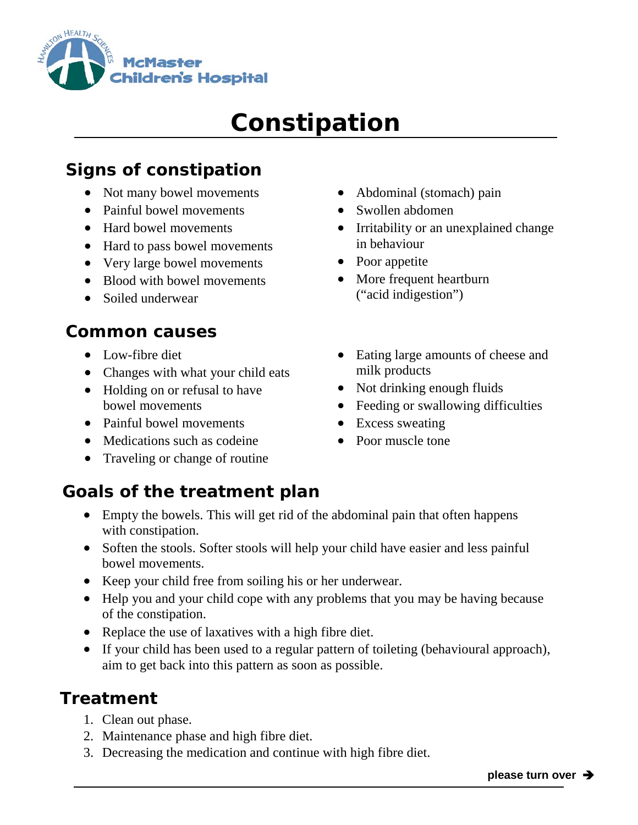

# **Constipation**

# **Signs of constipation**

- Not many bowel movements
- Painful bowel movements
- Hard bowel movements
- Hard to pass bowel movements
- Very large bowel movements
- Blood with bowel movements
- Soiled underwear

#### **Common causes**

- Low-fibre diet
- Changes with what your child eats
- Holding on or refusal to have bowel movements
- Painful bowel movements
- Medications such as codeine
- Traveling or change of routine
- Abdominal (stomach) pain
- Swollen abdomen
- Irritability or an unexplained change in behaviour
- Poor appetite
- More frequent heartburn ("acid indigestion")
- Eating large amounts of cheese and milk products
- Not drinking enough fluids
- Feeding or swallowing difficulties
- Excess sweating
- Poor muscle tone

## **Goals of the treatment plan**

- Empty the bowels. This will get rid of the abdominal pain that often happens with constipation.
- Soften the stools. Softer stools will help your child have easier and less painful bowel movements.
- Keep your child free from soiling his or her underwear.
- Help you and your child cope with any problems that you may be having because of the constipation.
- Replace the use of laxatives with a high fibre diet.
- If your child has been used to a regular pattern of toileting (behavioural approach), aim to get back into this pattern as soon as possible.

### **Treatment**

- 1. Clean out phase.
- 2. Maintenance phase and high fibre diet.
- 3. Decreasing the medication and continue with high fibre diet.